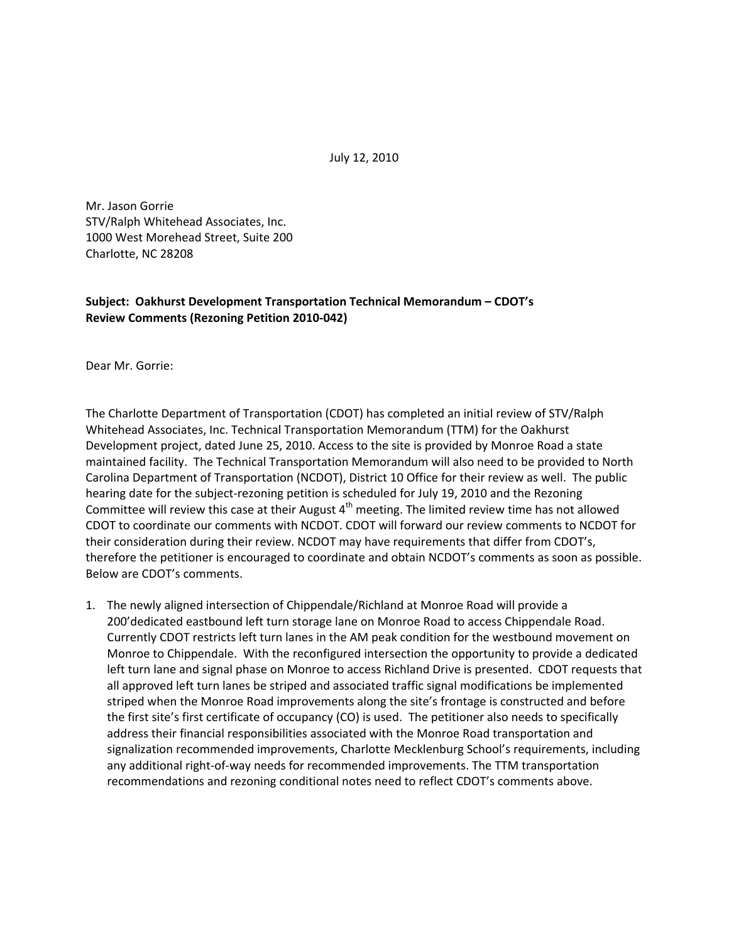July 12, 2010

Mr. Jason Gorrie STV/Ralph Whitehead Associates, Inc. 1000 West Morehead Street, Suite 200 Charlotte, NC 28208

## **Subject: Oakhurst Development Transportation Technical Memorandum – CDOT's Review Comments (Rezoning Petition 2010‐042)**

Dear Mr. Gorrie:

The Charlotte Department of Transportation (CDOT) has completed an initial review of STV/Ralph Whitehead Associates, Inc. Technical Transportation Memorandum (TTM) for the Oakhurst Development project, dated June 25, 2010. Access to the site is provided by Monroe Road a state maintained facility. The Technical Transportation Memorandum will also need to be provided to North Carolina Department of Transportation (NCDOT), District 10 Office for their review as well. The public hearing date for the subject-rezoning petition is scheduled for July 19, 2010 and the Rezoning Committee will review this case at their August  $4<sup>th</sup>$  meeting. The limited review time has not allowed CDOT to coordinate our comments with NCDOT. CDOT will forward our review comments to NCDOT for their consideration during their review. NCDOT may have requirements that differ from CDOT's, therefore the petitioner is encouraged to coordinate and obtain NCDOT's comments as soon as possible. Below are CDOT's comments.

1. The newly aligned intersection of Chippendale/Richland at Monroe Road will provide a 200'dedicated eastbound left turn storage lane on Monroe Road to access Chippendale Road. Currently CDOT restricts left turn lanes in the AM peak condition for the westbound movement on Monroe to Chippendale. With the reconfigured intersection the opportunity to provide a dedicated left turn lane and signal phase on Monroe to access Richland Drive is presented. CDOT requests that all approved left turn lanes be striped and associated traffic signal modifications be implemented striped when the Monroe Road improvements along the site's frontage is constructed and before the first site's first certificate of occupancy (CO) is used. The petitioner also needs to specifically address their financial responsibilities associated with the Monroe Road transportation and signalization recommended improvements, Charlotte Mecklenburg School's requirements, including any additional right‐of‐way needs for recommended improvements. The TTM transportation recommendations and rezoning conditional notes need to reflect CDOT's comments above.